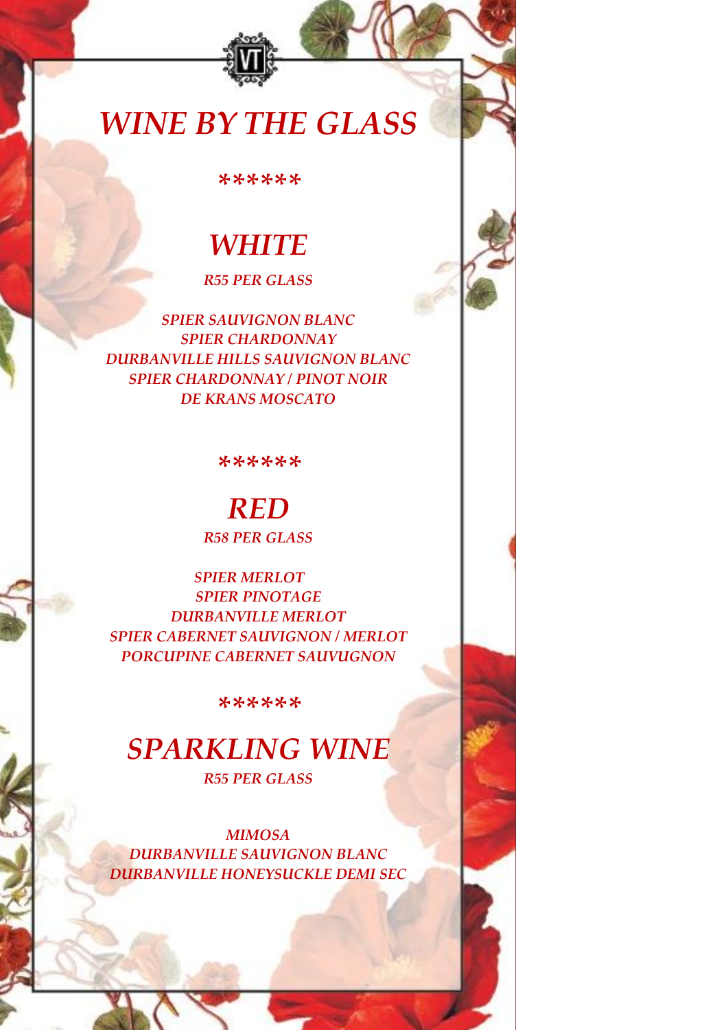# *WINE BY THE GLASS*

*\*\*\*\*\*\**

# *WHITE*

# *R55 PER GLASS*

*SPIER SAUVIGNON BLANC SPIER CHARDONNAY DURBANVILLE HILLS SAUVIGNON BLANC SPIER CHARDONNAY / PINOT NOIR DE KRANS MOSCATO*

*\*\*\*\*\*\**

# *RED*

*R58 PER GLASS*

 *SPIER MERLOT SPIER PINOTAGE DURBANVILLE MERLOT SPIER CABERNET SAUVIGNON / MERLOT PORCUPINE CABERNET SAUVUGNON*

*\*\*\*\*\*\**

# *SPARKLING WINE*

*R55 PER GLASS*

*MIMOSA DURBANVILLE SAUVIGNON BLANC DURBANVILLE HONEYSUCKLE DEMI SEC*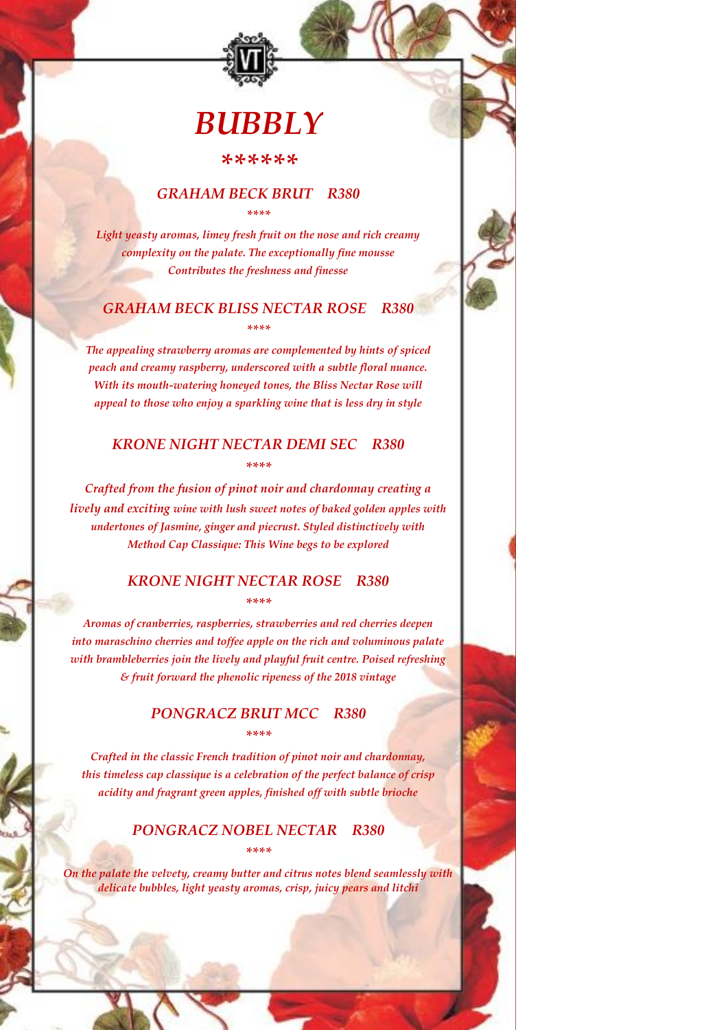# *BUBBLY*

### *\*\*\*\*\*\**

### *GRAHAM BECK BRUT R380 \*\*\*\**

*Light yeasty aromas, limey fresh fruit on the nose and rich creamy complexity on the palate. The exceptionally fine mousse Contributes the freshness and finesse*

# *GRAHAM BECK BLISS NECTAR ROSE R380 \*\*\*\**

*The appealing strawberry aromas are complemented by hints of spiced peach and creamy raspberry, underscored with a subtle floral nuance. With its mouth-watering honeyed tones, the Bliss Nectar Rose will appeal to those who enjoy a sparkling wine that is less dry in style*

# *KRONE NIGHT NECTAR DEMI SEC R380 \*\*\*\**

*Crafted from the fusion of pinot noir and chardonnay creating a lively and exciting wine with lush sweet notes of baked golden apples with undertones of Jasmine, ginger and piecrust. Styled distinctively with Method Cap Classique: This Wine begs to be explored*

### *KRONE NIGHT NECTAR ROSE R380 \*\*\*\**

*Aromas of cranberries, raspberries, strawberries and red cherries deepen into maraschino cherries and toffee apple on the rich and voluminous palate with brambleberries join the lively and playful fruit centre. Poised refreshing & fruit forward the phenolic ripeness of the 2018 vintage*

### *PONGRACZ BRUT MCC R380 \*\*\*\**

*Crafted in the classic French tradition of pinot noir and chardonnay, this timeless cap classique is a celebration of the perfect balance of crisp acidity and fragrant green apples, finished off with subtle brioche*

# *PONGRACZ NOBEL NECTAR R380 \*\*\*\**

*On the palate the velvety, creamy butter and citrus notes blend seamlessly with delicate bubbles, light yeasty aromas, crisp, juicy pears and litchi*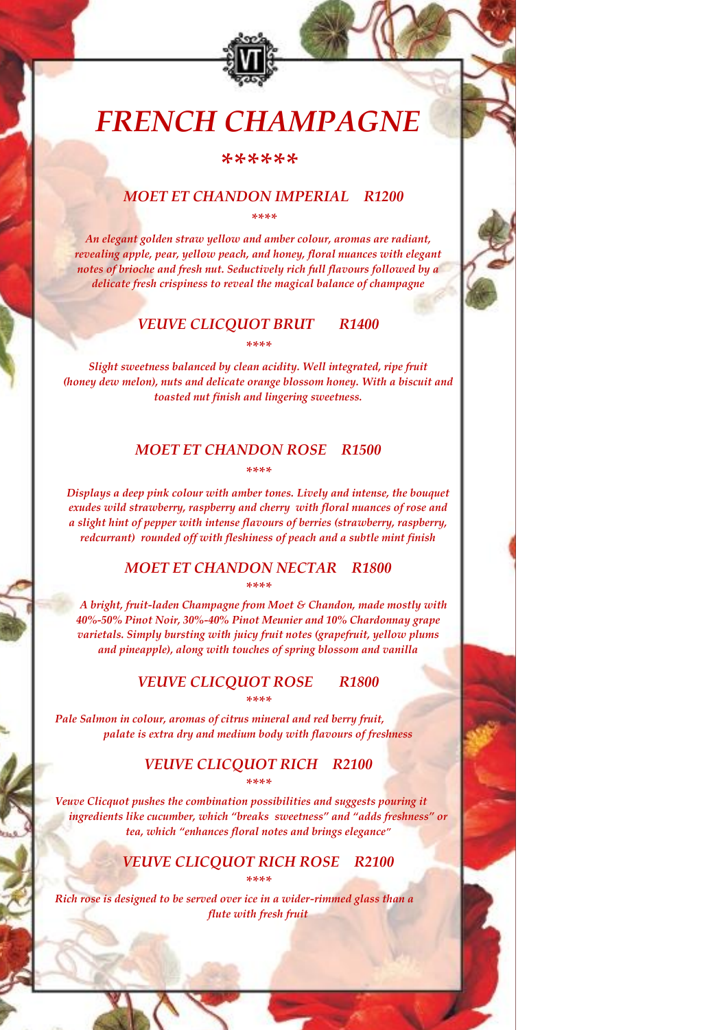# *FRENCH CHAMPAGNE*

#### *\*\*\*\*\*\**

### *MOET ET CHANDON IMPERIAL R1200 \*\*\*\**

*An elegant golden straw yellow and amber colour, aromas are radiant, revealing apple, pear, yellow peach, and honey, floral nuances with elegant notes of brioche and fresh nut. Seductively rich full flavours followed by a delicate fresh crispiness to reveal the magical balance of champagne*

## *VEUVE CLICQUOT BRUT R1400*

*\*\*\*\**

*Slight sweetness balanced by clean acidity. Well integrated, ripe fruit (honey dew melon), nuts and delicate orange blossom honey. With a biscuit and toasted nut finish and lingering sweetness.*

# *MOET ET CHANDON ROSE R1500 \*\*\*\**

*Displays a deep pink colour with amber tones. Lively and intense, the bouquet exudes wild strawberry, raspberry and cherry with floral nuances of rose and a slight hint of pepper with intense flavours of berries (strawberry, raspberry, redcurrant) rounded off with fleshiness of peach and a subtle mint finish*

### *MOET ET CHANDON NECTAR R1800 \*\*\*\**

*A bright, fruit-laden Champagne from Moet & Chandon, made mostly with 40%-50% Pinot Noir, 30%-40% Pinot Meunier and 10% Chardonnay grape varietals. Simply bursting with juicy fruit notes (grapefruit, yellow plums and pineapple), along with touches of spring blossom and vanilla*

#### *VEUVE CLICQUOT ROSE R1800 \*\*\*\**

*Pale Salmon in colour, aromas of citrus mineral and red berry fruit, palate is extra dry and medium body with flavours of freshness*

### *VEUVE CLICQUOT RICH R2100 \*\*\*\**

*Veuve Clicquot pushes the combination possibilities and suggests pouring it ingredients like cucumber, which "breaks sweetness" and "adds freshness" or tea, which "enhances floral notes and brings elegance"*

### *VEUVE CLICQUOT RICH ROSE R2100 \*\*\*\**

*Rich rose is designed to be served over ice in a wider-rimmed glass than a flute with fresh fruit*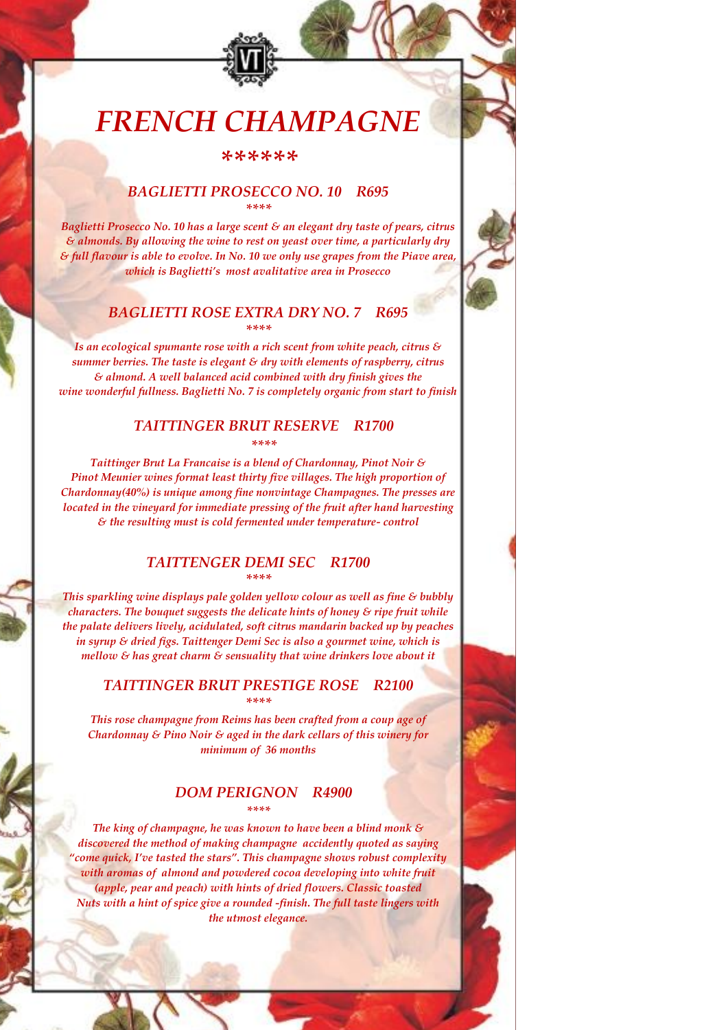# *FRENCH CHAMPAGNE*

*\*\*\*\*\*\**

## *BAGLIETTI PROSECCO NO. 10 R695 \*\*\*\**

*Baglietti Prosecco No. 10 has a large scent & an elegant dry taste of pears, citrus & almonds. By allowing the wine to rest on yeast over time, a particularly dry & full flavour is able to evolve. In No. 10 we only use grapes from the Piave area, which is Baglietti's most avalitative area in Prosecco*

### *BAGLIETTI ROSE EXTRA DRY NO. 7 R695 \*\*\*\**

*Is an ecological spumante rose with a rich scent from white peach, citrus & summer berries. The taste is elegant & dry with elements of raspberry, citrus & almond. A well balanced acid combined with dry finish gives the wine wonderful fullness. Baglietti No. 7 is completely organic from start to finish*

#### *TAITTINGER BRUT RESERVE R1700 \*\*\*\**

*Taittinger Brut La Francaise is a blend of Chardonnay, Pinot Noir & Pinot Meunier wines format least thirty five villages. The high proportion of Chardonnay(40%) is unique among fine nonvintage Champagnes. The presses are located in the vineyard for immediate pressing of the fruit after hand harvesting & the resulting must is cold fermented under temperature- control*

#### *TAITTENGER DEMI SEC R1700 \*\*\*\**

*This sparkling wine displays pale golden yellow colour as well as fine & bubbly characters. The bouquet suggests the delicate hints of honey & ripe fruit while the palate delivers lively, acidulated, soft citrus mandarin backed up by peaches in syrup & dried figs. Taittenger Demi Sec is also a gourmet wine, which is mellow & has great charm & sensuality that wine drinkers love about it*

### *TAITTINGER BRUT PRESTIGE ROSE R2100 \*\*\*\**

*This rose champagne from Reims has been crafted from a coup age of Chardonnay & Pino Noir & aged in the dark cellars of this winery for minimum of 36 months*

#### *DOM PERIGNON R4900 \*\*\*\**

*The king of champagne, he was known to have been a blind monk & discovered the method of making champagne accidently quoted as saying "come quick, I've tasted the stars". This champagne shows robust complexity with aromas of almond and powdered cocoa developing into white fruit (apple, pear and peach) with hints of dried flowers. Classic toasted Nuts with a hint of spice give a rounded -finish. The full taste lingers with the utmost elegance.*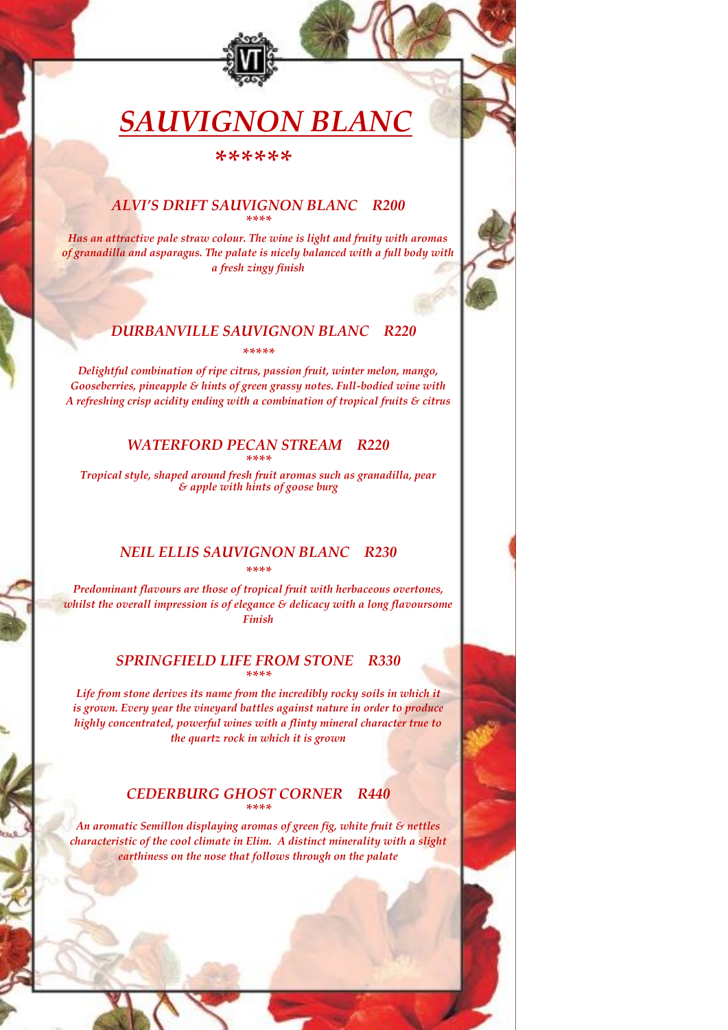# *SAUVIGNON BLANC*

 *\*\*\*\*\*\**

#### *ALVI'S DRIFT SAUVIGNON BLANC R200 \*\*\*\**

*Has an attractive pale straw colour. The wine is light and fruity with aromas of granadilla and asparagus. The palate is nicely balanced with a full body with a fresh zingy finish*

## *DURBANVILLE SAUVIGNON BLANC R220 \*\*\*\*\**

*Delightful combination of ripe citrus, passion fruit, winter melon, mango, Gooseberries, pineapple & hints of green grassy notes. Full-bodied wine with A refreshing crisp acidity ending with a combination of tropical fruits & citrus*

#### *WATERFORD PECAN STREAM R220 \*\*\*\**

*Tropical style, shaped around fresh fruit aromas such as granadilla, pear & apple with hints of goose burg*

#### *NEIL ELLIS SAUVIGNON BLANC R230 \*\*\*\**

*Predominant flavours are those of tropical fruit with herbaceous overtones, whilst the overall impression is of elegance & delicacy with a long flavoursome Finish*

## *SPRINGFIELD LIFE FROM STONE R330 \*\*\*\**

*Life from stone derives its name from the incredibly rocky soils in which it is grown. Every year the vineyard battles against nature in order to produce highly concentrated, powerful wines with a flinty mineral character true to the quartz rock in which it is grown*

## *CEDERBURG GHOST CORNER R440 \*\*\*\**

*An aromatic Semillon displaying aromas of green fig, white fruit & nettles characteristic of the cool climate in Elim. A distinct minerality with a slight earthiness on the nose that follows through on the palate*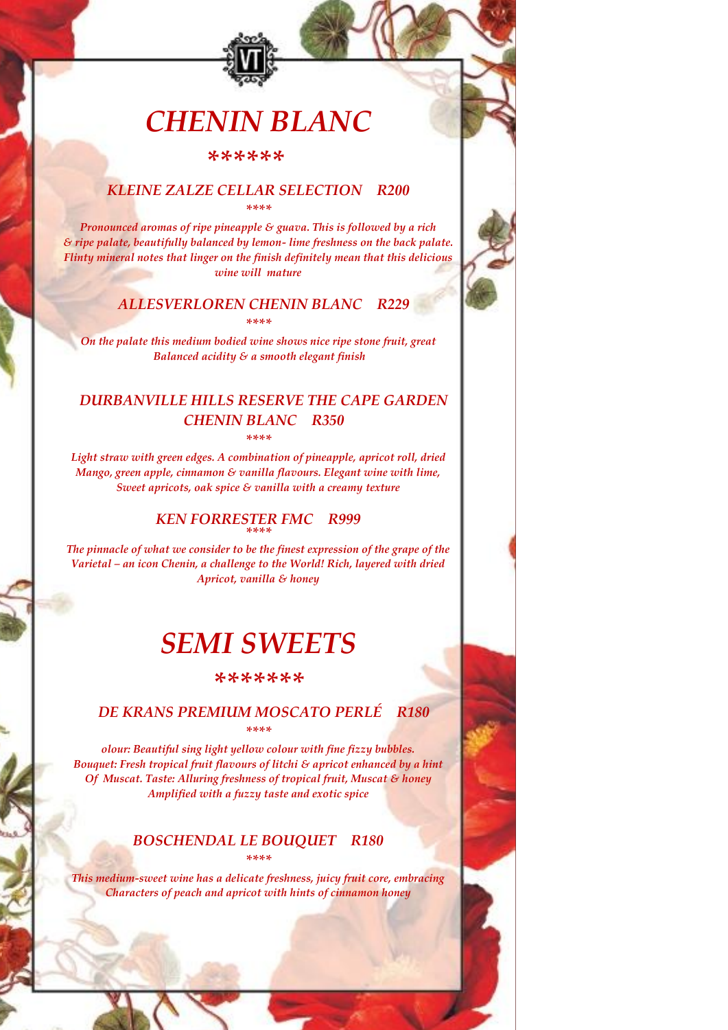# *CHENIN BLANC*

 *\*\*\*\*\*\**

## *KLEINE ZALZE CELLAR SELECTION R200 \*\*\*\**

*Pronounced aromas of ripe pineapple & guava. This is followed by a rich & ripe palate, beautifully balanced by lemon- lime freshness on the back palate. Flinty mineral notes that linger on the finish definitely mean that this delicious wine will mature*

#### *ALLESVERLOREN CHENIN BLANC R229 \*\*\*\**

*On the palate this medium bodied wine shows nice ripe stone fruit, great Balanced acidity & a smooth elegant finish*

# *DURBANVILLE HILLS RESERVE THE CAPE GARDEN CHENIN BLANC R350 \*\*\*\**

*Light straw with green edges. A combination of pineapple, apricot roll, dried Mango, green apple, cinnamon & vanilla flavours. Elegant wine with lime, Sweet apricots, oak spice & vanilla with a creamy texture*

## *KEN FORRESTER FMC R999 \*\*\*\**

*The pinnacle of what we consider to be the finest expression of the grape of the Varietal – an icon Chenin, a challenge to the World! Rich, layered with dried Apricot, vanilla & honey*

# *SEMI SWEETS*

#### *\*\*\*\*\*\*\**

#### *DE KRANS PREMIUM MOSCATO PERLÉ R180 \*\*\*\**

*olour: Beautiful sing light yellow colour with fine fizzy bubbles. Bouquet: Fresh tropical fruit flavours of litchi & apricot enhanced by a hint Of Muscat. Taste: Alluring freshness of tropical fruit, Muscat & honey Amplified with a fuzzy taste and exotic spice*

# *BOSCHENDAL LE BOUQUET R180 \*\*\*\**

*This medium-sweet wine has a delicate freshness, juicy fruit core, embracing Characters of peach and apricot with hints of cinnamon honey*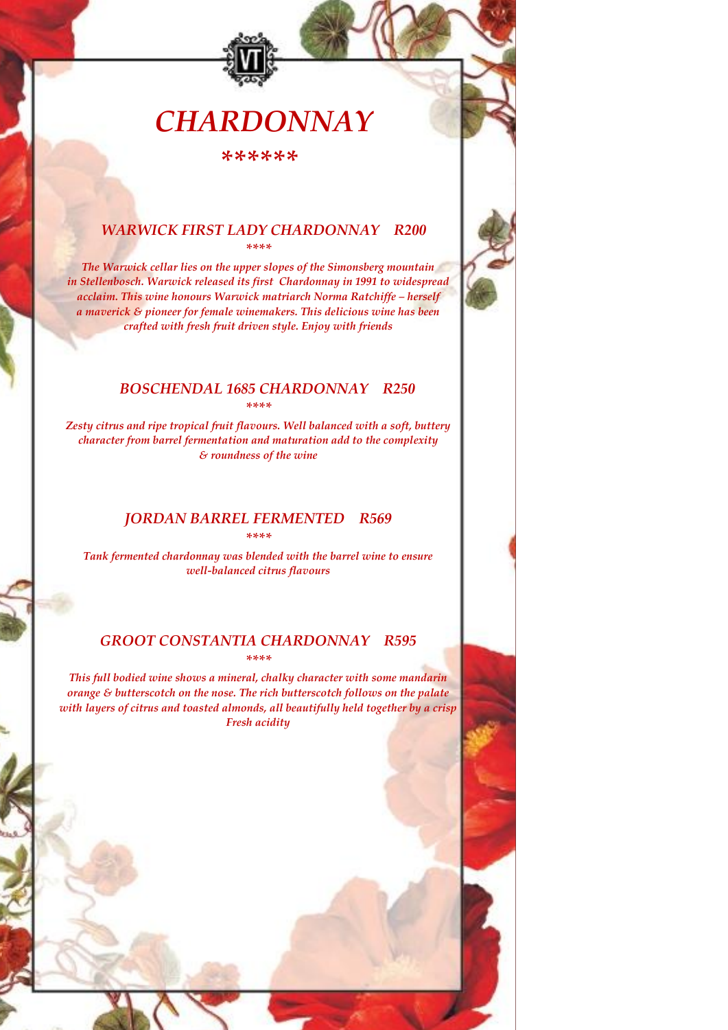# *CHARDONNAY*

*\*\*\*\*\*\**

#### *WARWICK FIRST LADY CHARDONNAY R200 \*\*\*\**

*The Warwick cellar lies on the upper slopes of the Simonsberg mountain in Stellenbosch. Warwick released its first Chardonnay in 1991 to widespread acclaim. This wine honours Warwick matriarch Norma Ratchiffe – herself a maverick & pioneer for female winemakers. This delicious wine has been crafted with fresh fruit driven style. Enjoy with friends*

## *BOSCHENDAL 1685 CHARDONNAY R250*

*\*\*\*\**

*Zesty citrus and ripe tropical fruit flavours. Well balanced with a soft, buttery character from barrel fermentation and maturation add to the complexity & roundness of the wine*

## *JORDAN BARREL FERMENTED R569*

*\*\*\*\**

*Tank fermented chardonnay was blended with the barrel wine to ensure well-balanced citrus flavours*

#### *GROOT CONSTANTIA CHARDONNAY R595 \*\*\*\**

*This full bodied wine shows a mineral, chalky character with some mandarin orange & butterscotch on the nose. The rich butterscotch follows on the palate with layers of citrus and toasted almonds, all beautifully held together by a crisp Fresh acidity*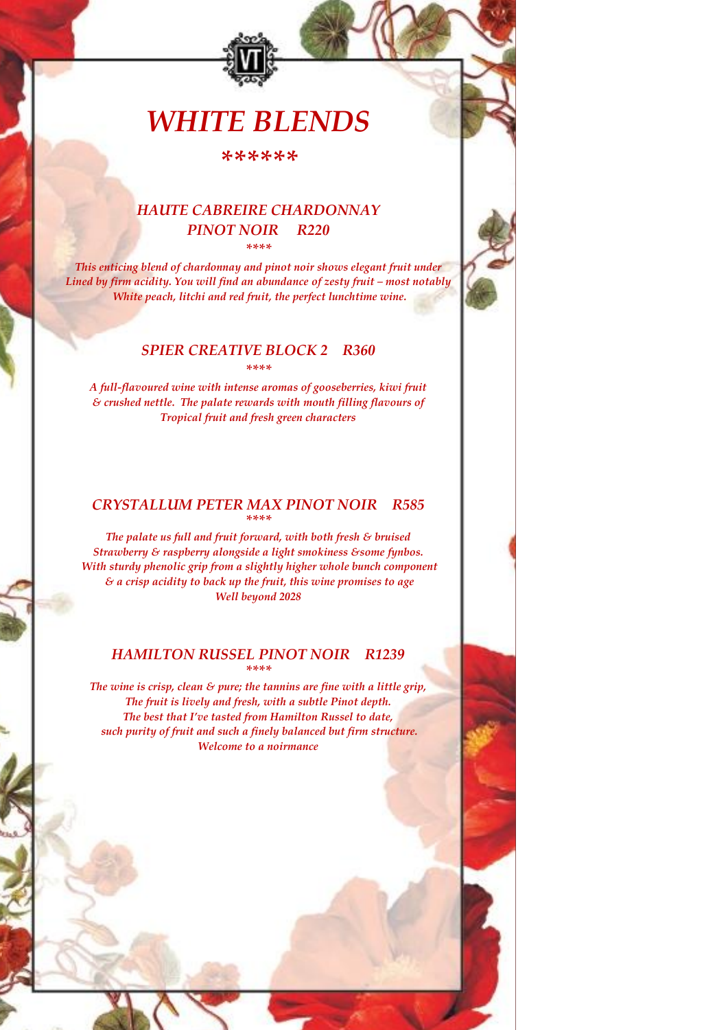# *WHITE BLENDS*

*\*\*\*\*\*\**

## *HAUTE CABREIRE CHARDONNAY PINOT NOIR R220 \*\*\*\**

*This enticing blend of chardonnay and pinot noir shows elegant fruit under Lined* by firm acidity. You will find an abundance of zesty fruit – most notably *White peach, litchi and red fruit, the perfect lunchtime wine.*

#### *SPIER CREATIVE BLOCK 2 R360 \*\*\*\**

*A full-flavoured wine with intense aromas of gooseberries, kiwi fruit & crushed nettle. The palate rewards with mouth filling flavours of Tropical fruit and fresh green characters*

## *CRYSTALLUM PETER MAX PINOT NOIR R585 \*\*\*\**

*The palate us full and fruit forward, with both fresh & bruised Strawberry & raspberry alongside a light smokiness &some fynbos. With sturdy phenolic grip from a slightly higher whole bunch component & a crisp acidity to back up the fruit, this wine promises to age Well beyond 2028*

## *HAMILTON RUSSEL PINOT NOIR R1239 \*\*\*\**

*The wine is crisp, clean & pure; the tannins are fine with a little grip, The fruit is lively and fresh, with a subtle Pinot depth. The best that I've tasted from Hamilton Russel to date, such purity of fruit and such a finely balanced but firm structure. Welcome to a noirmance*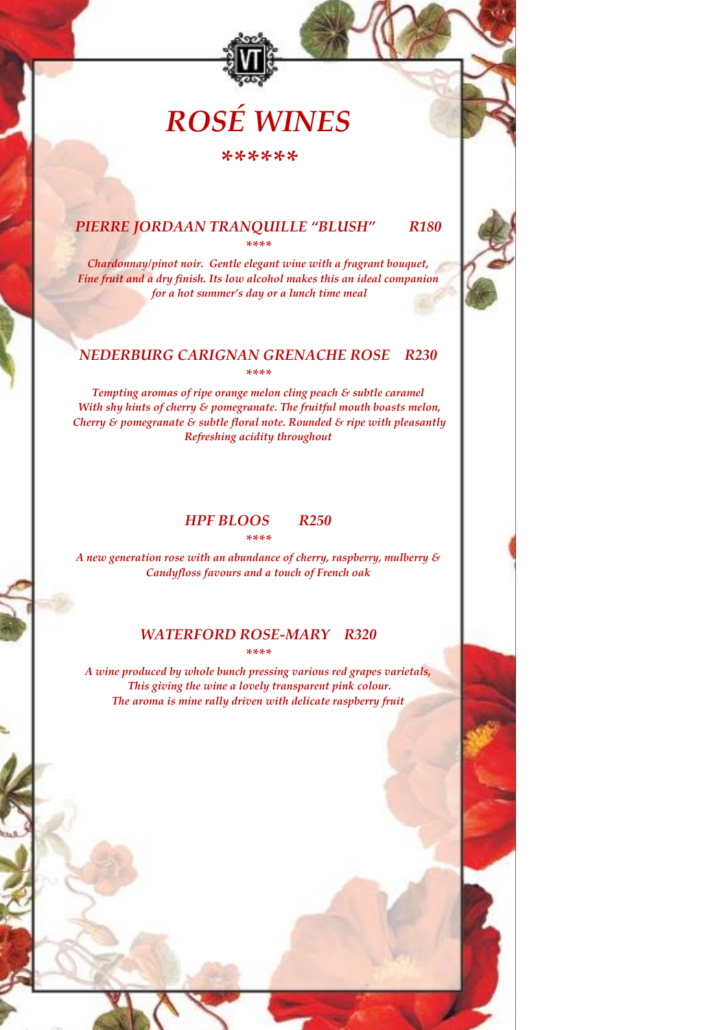# *ROSÉ WINES*

*\*\*\*\*\*\**

### *PIERRE JORDAAN TRANQUILLE "BLUSH" R180 \*\*\*\**

*Chardonnay/pinot noir. Gentle elegant wine with a fragrant bouquet, Fine fruit and a dry finish. Its low alcohol makes this an ideal companion for a hot summer's day or a lunch time meal*

#### *NEDERBURG CARIGNAN GRENACHE ROSE R230 \*\*\*\**

*Tempting aromas of ripe orange melon cling peach & subtle caramel With shy hints of cherry & pomegranate. The fruitful mouth boasts melon, Cherry & pomegranate & subtle floral note. Rounded & ripe with pleasantly Refreshing acidity throughout*

### *HPF BLOOS R250 \*\*\*\**

*A new generation rose with an abundance of cherry, raspberry, mulberry & Candyfloss favours and a touch of French oak*

#### *WATERFORD ROSE-MARY R320 \*\*\*\**

*A wine produced by whole bunch pressing various red grapes varietals, This giving the wine a lovely transparent pink colour. The aroma is mine rally driven with delicate raspberry fruit*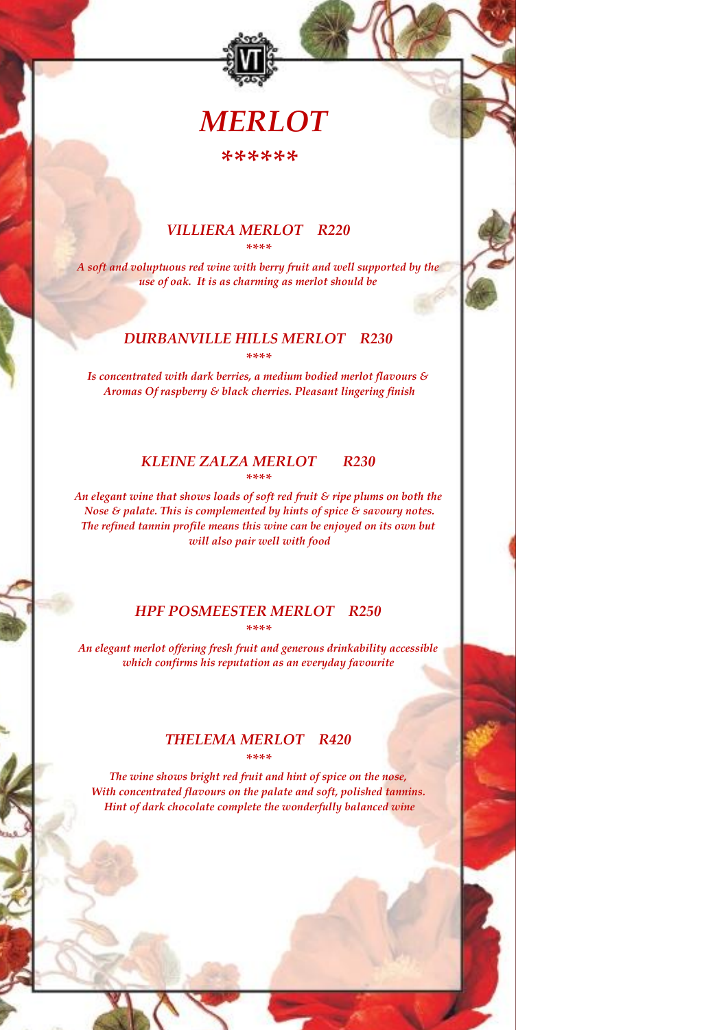# *MERLOT*

*\*\*\*\*\*\**

#### *VILLIERA MERLOT R220 \*\*\*\**

*A soft and voluptuous red wine with berry fruit and well supported by the use of oak. It is as charming as merlot should be*

#### *DURBANVILLE HILLS MERLOT R230 \*\*\*\**

*Is concentrated with dark berries, a medium bodied merlot flavours & Aromas Of raspberry & black cherries. Pleasant lingering finish*

#### *KLEINE ZALZA MERLOT R230 \*\*\*\**

*An elegant wine that shows loads of soft red fruit & ripe plums on both the Nose & palate. This is complemented by hints of spice & savoury notes. The refined tannin profile means this wine can be enjoyed on its own but will also pair well with food*

### *HPF POSMEESTER MERLOT R250 \*\*\*\**

*An elegant merlot offering fresh fruit and generous drinkability accessible which confirms his reputation as an everyday favourite*

### *THELEMA MERLOT R420 \*\*\*\**

*The wine shows bright red fruit and hint of spice on the nose, With concentrated flavours on the palate and soft, polished tannins. Hint of dark chocolate complete the wonderfully balanced wine*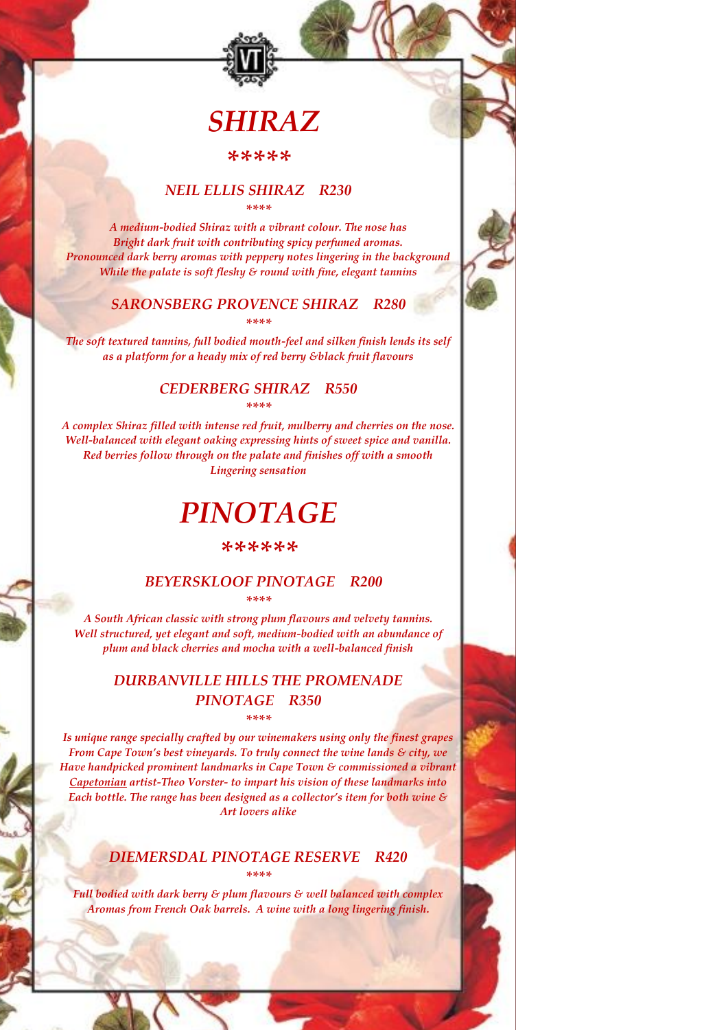# *SHIRAZ*

### *\*\*\*\*\**

#### *NEIL ELLIS SHIRAZ R230 \*\*\*\**

*A medium-bodied Shiraz with a vibrant colour. The nose has Bright dark fruit with contributing spicy perfumed aromas. Pronounced dark berry aromas with peppery notes lingering in the background While the palate is soft fleshy & round with fine, elegant tannins*

#### *SARONSBERG PROVENCE SHIRAZ R280 \*\*\*\**

*The soft textured tannins, full bodied mouth-feel and silken finish lends its self as a platform for a heady mix of red berry &black fruit flavours*

## *CEDERBERG SHIRAZ R550*

*\*\*\*\**

*A complex Shiraz filled with intense red fruit, mulberry and cherries on the nose. Well-balanced with elegant oaking expressing hints of sweet spice and vanilla. Red berries follow through on the palate and finishes off with a smooth Lingering sensation*

# *PINOTAGE*

#### *\*\*\*\*\*\**

#### *BEYERSKLOOF PINOTAGE R200 \*\*\*\**

*A South African classic with strong plum flavours and velvety tannins. Well structured, yet elegant and soft, medium-bodied with an abundance of plum and black cherries and mocha with a well-balanced finish*

## *DURBANVILLE HILLS THE PROMENADE PINOTAGE R350 \*\*\*\**

*Is unique range specially crafted by our winemakers using only the finest grapes From Cape Town's best vineyards. To truly connect the wine lands & city, we Have handpicked prominent landmarks in Cape Town & commissioned a vibrant Capetonian artist-Theo Vorster- to impart his vision of these landmarks into Each bottle. The range has been designed as a collector's item for both wine & Art lovers alike*

### *DIEMERSDAL PINOTAGE RESERVE R420 \*\*\*\**

*Full bodied with dark berry & plum flavours & well balanced with complex Aromas from French Oak barrels. A wine with a long lingering finish.*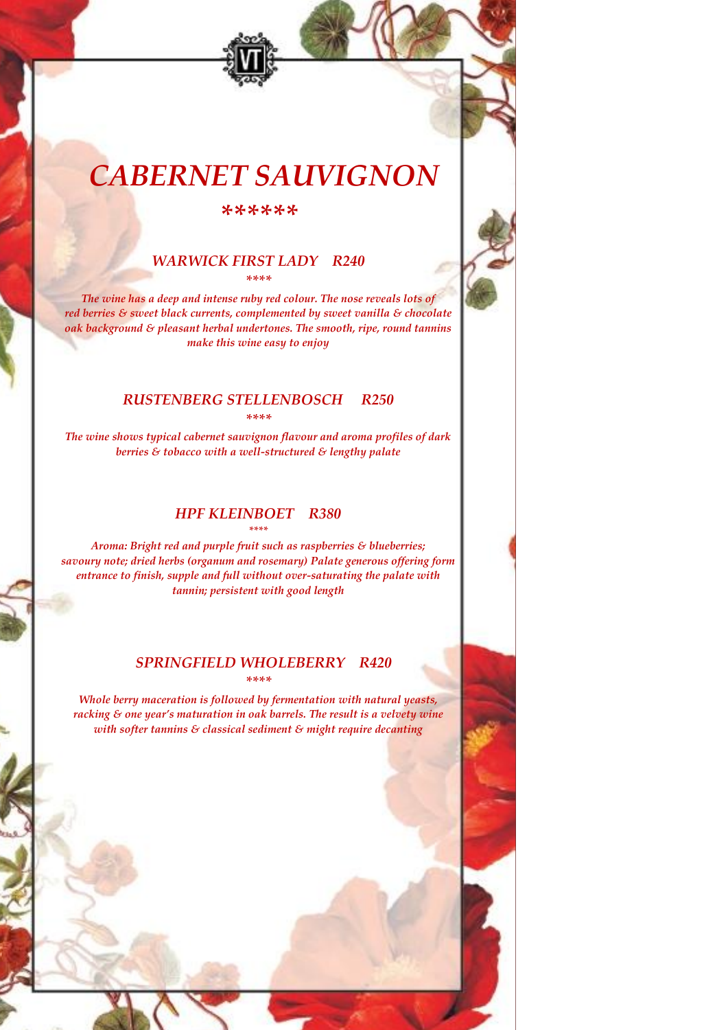# *CABERNET SAUVIGNON*

*\*\*\*\*\*\**

#### *WARWICK FIRST LADY R240 \*\*\*\**

*The wine has a deep and intense ruby red colour. The nose reveals lots of red berries & sweet black currents, complemented by sweet vanilla & chocolate oak background & pleasant herbal undertones. The smooth, ripe, round tannins make this wine easy to enjoy*

#### *RUSTENBERG STELLENBOSCH R250 \*\*\*\**

*The wine shows typical cabernet sauvignon flavour and aroma profiles of dark berries & tobacco with a well-structured & lengthy palate*

## *HPF KLEINBOET R380 \*\*\*\**

*Aroma: Bright red and purple fruit such as raspberries & blueberries; savoury note; dried herbs (organum and rosemary) Palate generous offering form entrance to finish, supple and full without over-saturating the palate with tannin; persistent with good length*

#### *SPRINGFIELD WHOLEBERRY R420 \*\*\*\**

*Whole berry maceration is followed by fermentation with natural yeasts, racking & one year's maturation in oak barrels. The result is a velvety wine with softer tannins & classical sediment & might require decanting*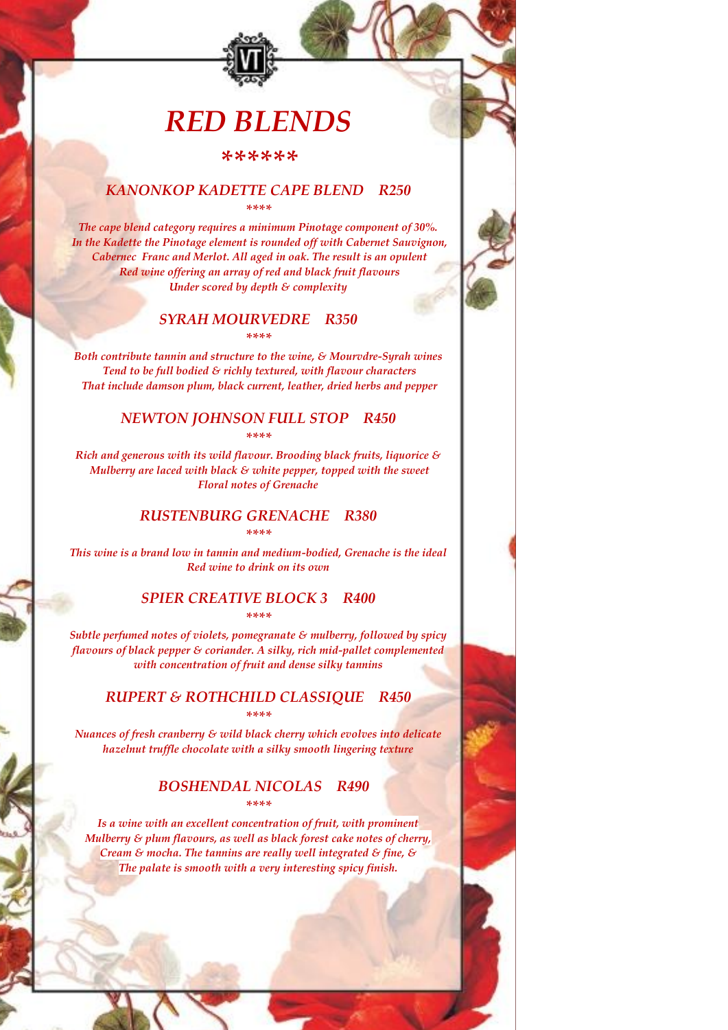# *RED BLENDS*

*\*\*\*\*\*\**

## *KANONKOP KADETTE CAPE BLEND R250*

*\*\*\*\**

*The cape blend category requires a minimum Pinotage component of 30%. In the Kadette the Pinotage element is rounded off with Cabernet Sauvignon, Cabernec Franc and Merlot. All aged in oak. The result is an opulent Red wine offering an array of red and black fruit flavours Under scored by depth & complexity*

#### *SYRAH MOURVEDRE R350 \*\*\*\**

*Both contribute tannin and structure to the wine, & Mourvdre-Syrah wines Tend to be full bodied & richly textured, with flavour characters That include damson plum, black current, leather, dried herbs and pepper*

### *NEWTON JOHNSON FULL STOP R450 \*\*\*\**

*Rich and generous with its wild flavour. Brooding black fruits, liquorice & Mulberry are laced with black & white pepper, topped with the sweet Floral notes of Grenache*

# *RUSTENBURG GRENACHE R380*

*\*\*\*\**

*This wine is a brand low in tannin and medium-bodied, Grenache is the ideal Red wine to drink on its own*

#### *SPIER CREATIVE BLOCK 3 R400 \*\*\*\**

*Subtle perfumed notes of violets, pomegranate & mulberry, followed by spicy flavours of black pepper & coriander. A silky, rich mid-pallet complemented with concentration of fruit and dense silky tannins*

## *RUPERT & ROTHCHILD CLASSIQUE R450 \*\*\*\**

*Nuances of fresh cranberry & wild black cherry which evolves into delicate hazelnut truffle chocolate with a silky smooth lingering texture*

### *BOSHENDAL NICOLAS R490 \*\*\*\**

*Is a wine with an excellent concentration of fruit, with prominent Mulberry & plum flavours, as well as black forest cake notes of cherry, Cream & mocha. The tannins are really well integrated & fine, & The palate is smooth with a very interesting spicy finish.*